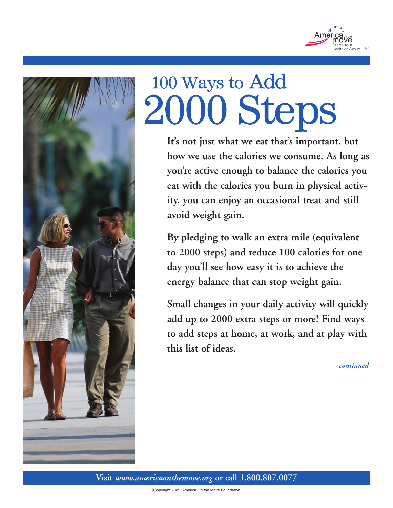



# 100 Ways to Add 2000 Steps

**It's not just what we eat that's important, but how we use the calories we consume. As long as you're active enough to balance the calories you eat with the calories you burn in physical activity, you can enjoy an occasional treat and still avoid weight gain.** 

**By pledging to walk an extra mile (equivalent to 2000 steps) and reduce 100 calories for one day you'll see how easy it is to achieve the energy balance that can stop weight gain.**

**Small changes in your daily activity will quickly add up to 2000 extra steps or more! Find ways to add steps at home, at work, and at play with this list of ideas.**

*continued*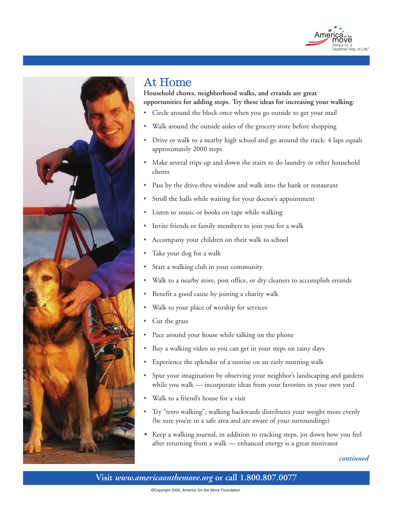



## At Home

**Household chores, neighborhood walks, and errands are great opportunities for adding steps. Try these ideas for increasing your walking:**

- Circle around the block once when you go outside to get your mail
- Walk around the outside aisles of the grocery store before shopping
- Drive or walk to a nearby high school and go around the track: 4 laps equals approximately 2000 steps
- Make several trips up and down the stairs to do laundry or other household chores
- Pass by the drive-thru window and walk into the bank or restaurant
- Stroll the halls while waiting for your doctor's appointment
- Listen to music or books on tape while walking
- Invite friends or family members to join you for a walk
- Accompany your children on their walk to school
- Take your dog for a walk
- Start a walking club in your community
- Walk to a nearby store, post office, or dry cleaners to accomplish errands
- Benefit a good cause by joining a charity walk
- Walk to your place of worship for services
- Cut the grass
- Pace around your house while talking on the phone
- Buy a walking video so you can get in your steps on rainy days
- Experience the splendor of a sunrise on an early morning walk
- Spur your imagination by observing your neighbor's landscaping and gardens while you walk — incorporate ideas from your favorites in your own yard
- Walk to a friend's house for a visit
- Try "retro walking"; walking backwards distributes your weight more evenly (be sure you're in a safe area and are aware of your surroundings)
- Keep a walking journal, in addition to tracking steps, jot down how you feel after returning from a walk — enhanced energy is a great motivator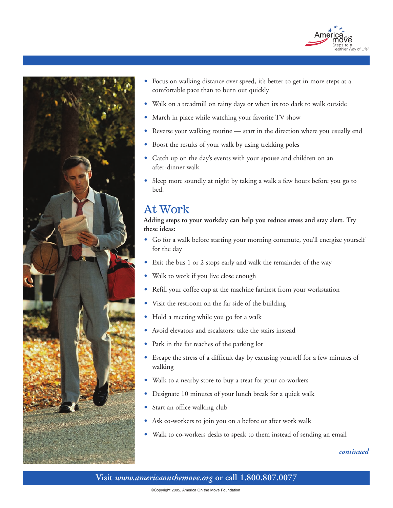



- Focus on walking distance over speed, it's better to get in more steps at a comfortable pace than to burn out quickly
- Walk on a treadmill on rainy days or when its too dark to walk outside
- March in place while watching your favorite TV show
- Reverse your walking routine start in the direction where you usually end
- Boost the results of your walk by using trekking poles
- Catch up on the day's events with your spouse and children on an after-dinner walk
- Sleep more soundly at night by taking a walk a few hours before you go to bed.

## At Work

**Adding steps to your workday can help you reduce stress and stay alert. Try these ideas:**

- Go for a walk before starting your morning commute, you'll energize yourself for the day
- Exit the bus 1 or 2 stops early and walk the remainder of the way
- Walk to work if you live close enough
- Refill your coffee cup at the machine farthest from your workstation
- Visit the restroom on the far side of the building
- Hold a meeting while you go for a walk
- Avoid elevators and escalators: take the stairs instead
- Park in the far reaches of the parking lot
- Escape the stress of a difficult day by excusing yourself for a few minutes of walking
- Walk to a nearby store to buy a treat for your co-workers
- Designate 10 minutes of your lunch break for a quick walk
- Start an office walking club
- Ask co-workers to join you on a before or after work walk
- Walk to co-workers desks to speak to them instead of sending an email

#### *continued*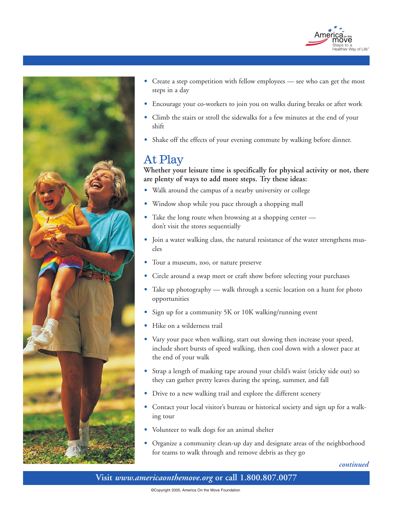



- Create a step competition with fellow employees see who can get the most steps in a day
- Encourage your co-workers to join you on walks during breaks or after work
- Climb the stairs or stroll the sidewalks for a few minutes at the end of your shift
- Shake off the effects of your evening commute by walking before dinner.

## At Play

**Whether your leisure time is specifically for physical activity or not, there are plenty of ways to add more steps. Try these ideas:** 

- Walk around the campus of a nearby university or college
- Window shop while you pace through a shopping mall
- Take the long route when browsing at a shopping center don't visit the stores sequentially
- Join a water walking class, the natural resistance of the water strengthens muscles
- Tour a museum, zoo, or nature preserve
- Circle around a swap meet or craft show before selecting your purchases
- Take up photography walk through a scenic location on a hunt for photo opportunities
- Sign up for a community 5K or 10K walking/running event
- Hike on a wilderness trail
- Vary your pace when walking, start out slowing then increase your speed, include short bursts of speed walking, then cool down with a slower pace at the end of your walk
- Strap a length of masking tape around your child's waist (sticky side out) so they can gather pretty leaves during the spring, summer, and fall
- Drive to a new walking trail and explore the different scenery
- Contact your local visitor's bureau or historical society and sign up for a walking tour
- Volunteer to walk dogs for an animal shelter
- Organize a community clean-up day and designate areas of the neighborhood for teams to walk through and remove debris as they go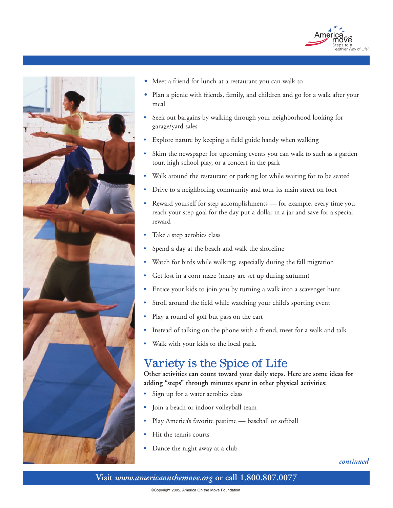



- Meet a friend for lunch at a restaurant you can walk to
- Plan a picnic with friends, family, and children and go for a walk after your meal
- Seek out bargains by walking through your neighborhood looking for garage/yard sales
- Explore nature by keeping a field guide handy when walking
- Skim the newspaper for upcoming events you can walk to such as a garden tour, high school play, or a concert in the park
- Walk around the restaurant or parking lot while waiting for to be seated
- Drive to a neighboring community and tour its main street on foot
- Reward yourself for step accomplishments for example, every time you reach your step goal for the day put a dollar in a jar and save for a special reward
- Take a step aerobics class
- Spend a day at the beach and walk the shoreline
- Watch for birds while walking; especially during the fall migration
- Get lost in a corn maze (many are set up during autumn)
- Entice your kids to join you by turning a walk into a scavenger hunt
- Stroll around the field while watching your child's sporting event
- Play a round of golf but pass on the cart
- Instead of talking on the phone with a friend, meet for a walk and talk
- Walk with your kids to the local park.

## Variety is the Spice of Life

**Other activities can count toward your daily steps. Here are some ideas for adding "steps" through minutes spent in other physical activities:**

- Sign up for a water aerobics class
- Join a beach or indoor volleyball team
- Play America's favorite pastime baseball or softball
- Hit the tennis courts
- Dance the night away at a club